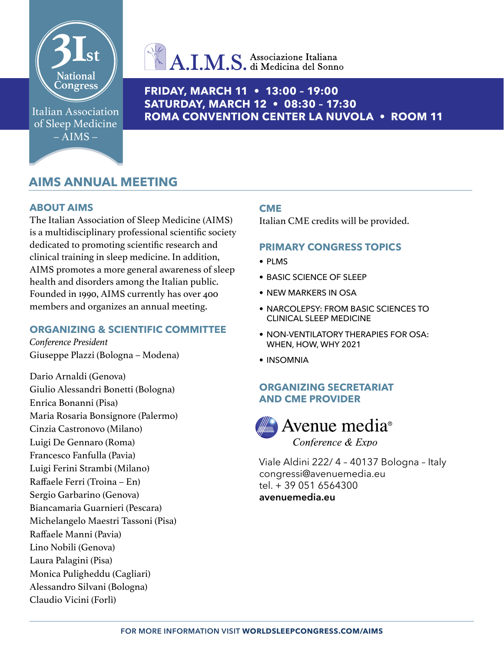

Italian Association of Sleep Medicine  $-$  AIMS  $-$ 

# $A.I.M.S.$  Associazione Italiana

## **FRIDAY, MARCH 11 • 13:00 – 19:00 SATURDAY, MARCH 12 • 08:30 – 17:30 ROMA CONVENTION CENTER LA NUVOLA • ROOM 11**

## **AIMS ANNUAL MEETING**

## **ABOUT AIMS**

The Italian Association of Sleep Medicine (AIMS) is a multidisciplinary professional scientific society dedicated to promoting scientific research and clinical training in sleep medicine. In addition, AIMS promotes a more general awareness of sleep health and disorders among the Italian public. Founded in 1990, AIMS currently has over 400 members and organizes an annual meeting.

## **ORGANIZING & SCIENTIFIC COMMITTEE**

*Conference President* Giuseppe Plazzi (Bologna – Modena)

Dario Arnaldi (Genova) Giulio Alessandri Bonetti (Bologna) Enrica Bonanni (Pisa) Maria Rosaria Bonsignore (Palermo) Cinzia Castronovo (Milano) Luigi De Gennaro (Roma) Francesco Fanfulla (Pavia) Luigi Ferini Strambi (Milano) Raffaele Ferri (Troina – En) Sergio Garbarino (Genova) Biancamaria Guarnieri (Pescara) Michelangelo Maestri Tassoni (Pisa) Raffaele Manni (Pavia) Lino Nobili (Genova) Laura Palagini (Pisa) Monica Puligheddu (Cagliari) Alessandro Silvani (Bologna) Claudio Vicini (Forlì)

## **CME**

Italian CME credits will be provided.

## **PRIMARY CONGRESS TOPICS**

- PLMS
- BASIC SCIENCE OF SLEEP
- NEW MARKERS IN OSA
- NARCOLEPSY: FROM BASIC SCIENCES TO CLINICAL SLEEP MEDICINE
- NON-VENTILATORY THERAPIES FOR OSA: WHEN, HOW, WHY 2021
- INSOMNIA

## **ORGANIZING SECRETARIAT AND CME PROVIDER**



Viale Aldini 222/ 4 – 40137 Bologna – Italy [congressi@avenuemedia.eu](mailto:congressi%40avenuemedia.eu?subject=) tel. + 39 051 6564300 **[avenuemedia.eu](https://www.avenuemedia.eu/)**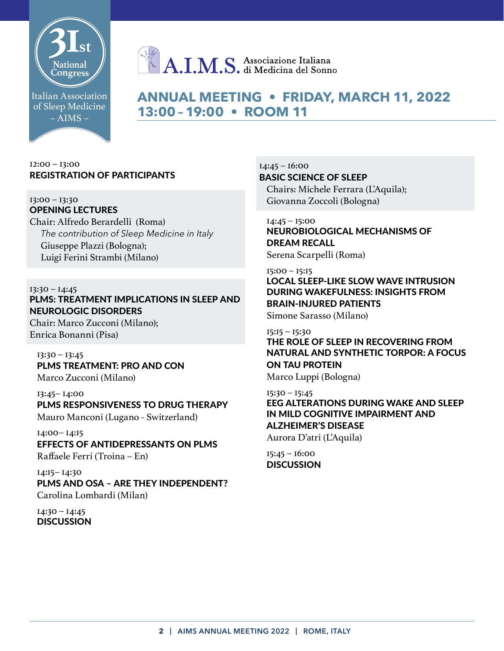

## Italian Association of Sleep Medicine  $-$  AIMS  $-$

## **ANNUAL MEETING • FRIDAY, MARCH 11, 2022 13:00 – 19:00 • ROOM 11**

## 12:00 – 13:00 REGISTRATION OF PARTICIPANTS

#### 13:00 – 13:30 OPENING LECTURES

Chair: Alfredo Berardelli (Roma) *The contribution of Sleep Medicine in Italy* Giuseppe Plazzi (Bologna); Luigi Ferini Strambi (Milano)

## $13:30 - 14:45$

## PLMS: TREATMENT IMPLICATIONS IN SLEEP AND NEUROLOGIC DISORDERS

Chair: Marco Zucconi (Milano); Enrica Bonanni (Pisa)

13:30 – 13:45 PLMS TREATMENT: PRO AND CON Marco Zucconi (Milano)

13:45– 14:00 PLMS RESPONSIVENESS TO DRUG THERAPY Mauro Manconi (Lugano - Switzerland)

14:00– 14:15 EFFECTS OF ANTIDEPRESSANTS ON PLMS Raffaele Ferri (Troina – En)

14:15– 14:30 PLMS AND OSA – ARE THEY INDEPENDENT? Carolina Lombardi (Milan)

 $I4:30 - I4:45$ **DISCUSSION**   $14:45 - 16:00$ BASIC SCIENCE OF SLEEP Chairs: Michele Ferrara (L'Aquila); Giovanna Zoccoli (Bologna)

## 14:45 – 15:00 NEUROBIOLOGICAL MECHANISMS OF DREAM RECALL

Serena Scarpelli (Roma)

## 15:00 – 15:15 LOCAL SLEEP-LIKE SLOW WAVE INTRUSION DURING WAKEFULNESS: INSIGHTS FROM BRAIN-INJURED PATIENTS

Simone Sarasso (Milano)

## 15:15 – 15:30

## THE ROLE OF SLEEP IN RECOVERING FROM NATURAL AND SYNTHETIC TORPOR: A FOCUS ON TAU PROTEIN

Marco Luppi (Bologna)

## 15:30 – 15:45

EEG ALTERATIONS DURING WAKE AND SLEEP IN MILD COGNITIVE IMPAIRMENT AND ALZHEIMER'S DISEASE Aurora D'atri (L'Aquila)

15:45 – 16:00 **DISCUSSION**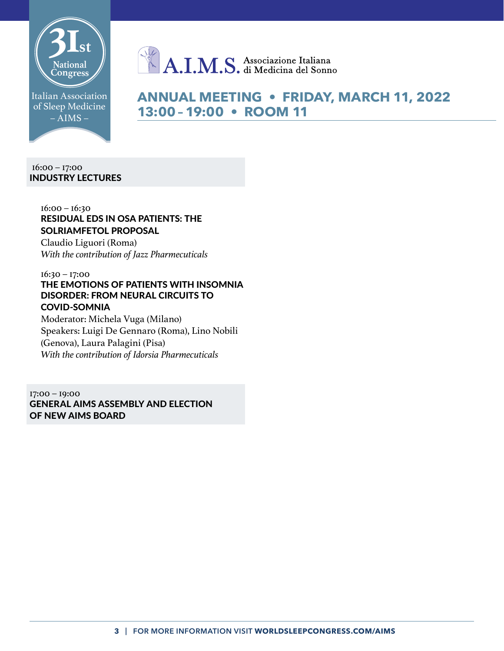

Italian Association of Sleep Medicine  $-\overline{AIMS}$  –

**ANNUAL MEETING • FRIDAY, MARCH 11, 2022 13:00 – 19:00 • ROOM 11**

16:00 – 17:00 INDUSTRY LECTURES

## 16:00 – 16:30 RESIDUAL EDS IN OSA PATIENTS: THE SOLRIAMFETOL PROPOSAL

Claudio Liguori (Roma) *With the contribution of Jazz Pharmecuticals*

16:30 – 17:00 THE EMOTIONS OF PATIENTS WITH INSOMNIA DISORDER: FROM NEURAL CIRCUITS TO COVID-SOMNIA

Moderator: Michela Vuga (Milano) Speakers: Luigi De Gennaro (Roma), Lino Nobili (Genova), Laura Palagini (Pisa) *With the contribution of Idorsia Pharmecuticals*

17:00 – 19:00 GENERAL AIMS ASSEMBLY AND ELECTION OF NEW AIMS BOARD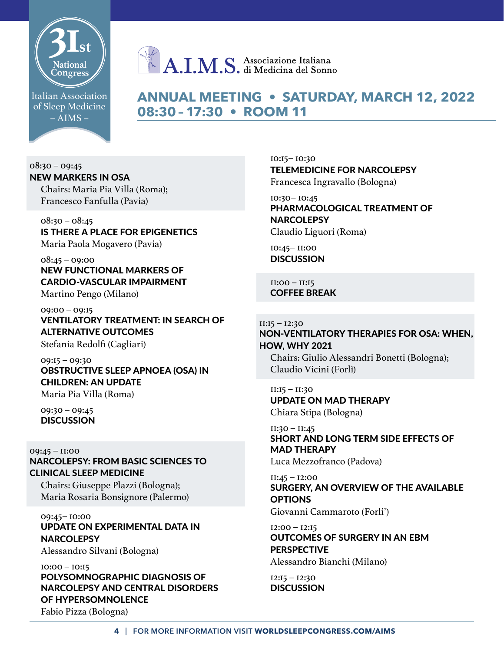

Italian Association of Sleep Medicine  $-$  AIMS  $-$ 

## **ANNUAL MEETING • SATURDAY, MARCH 12, 2022 08:30 – 17:30 • ROOM 11**

 $08:30 - 09:45$ NEW MARKERS IN OSA Chairs: Maria Pia Villa (Roma); Francesco Fanfulla (Pavia)

 $08:30 - 08:45$ IS THERE A PLACE FOR EPIGENETICS Maria Paola Mogavero (Pavia)

 $08:45 - 09:00$ NEW FUNCTIONAL MARKERS OF CARDIO-VASCULAR IMPAIRMENT Martino Pengo (Milano)

09:00 – 09:15 VENTILATORY TREATMENT: IN SEARCH OF ALTERNATIVE OUTCOMES

Stefania Redolfi (Cagliari)

09:15 – 09:30 OBSTRUCTIVE SLEEP APNOEA (OSA) IN CHILDREN: AN UPDATE

Maria Pia Villa (Roma)

09:30 – 09:45 **DISCUSSION** 

09:45 – 11:00 NARCOLEPSY: FROM BASIC SCIENCES TO CLINICAL SLEEP MEDICINE

Chairs: Giuseppe Plazzi (Bologna); Maria Rosaria Bonsignore (Palermo)

### 09:45– 10:00 UPDATE ON EXPERIMENTAL DATA IN **NARCOLEPSY**

Alessandro Silvani (Bologna)

## 10:00 – 10:15 POLYSOMNOGRAPHIC DIAGNOSIS OF NARCOLEPSY AND CENTRAL DISORDERS OF HYPERSOMNOLENCE

Fabio Pizza (Bologna)

10:15– 10:30 TELEMEDICINE FOR NARCOLEPSY Francesca Ingravallo (Bologna)

10:30– 10:45 PHARMACOLOGICAL TREATMENT OF **NARCOLEPSY** Claudio Liguori (Roma)

10:45– 11:00 **DISCUSSION** 

11:00 – 11:15 COFFEE BREAK

 $II:15 - I2:30$ NON-VENTILATORY THERAPIES FOR OSA: WHEN, HOW, WHY 2021 Chairs: Giulio Alessandri Bonetti (Bologna);

Claudio Vicini (Forlì)

11:15 – 11:30 UPDATE ON MAD THERAPY Chiara Stipa (Bologna)

11:30 – 11:45 SHORT AND LONG TERM SIDE EFFECTS OF MAD THERAPY Luca Mezzofranco (Padova)

11:45 – 12:00 SURGERY, AN OVERVIEW OF THE AVAILABLE **OPTIONS** Giovanni Cammaroto (Forli')

 $12:00 - 12:15$ OUTCOMES OF SURGERY IN AN EBM **PERSPECTIVE** Alessandro Bianchi (Milano)

 $12:15 - 12:30$ **DISCUSSION**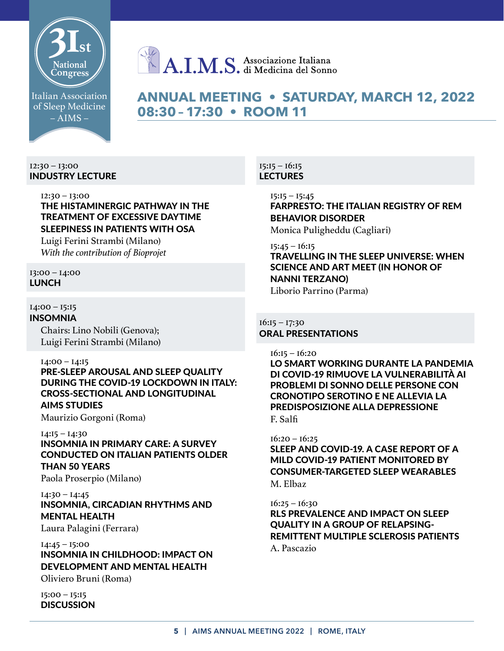

## Italian Association of Sleep Medicine  $-$  AIMS  $-$

## **ANNUAL MEETING • SATURDAY, MARCH 12, 2022 08:30 – 17:30 • ROOM 11**

#### 12:30 – 13:00 INDUSTRY LECTURE

## 12:30 – 13:00 THE HISTAMINERGIC PATHWAY IN THE TREATMENT OF EXCESSIVE DAYTIME SLEEPINESS IN PATIENTS WITH OSA

Luigi Ferini Strambi (Milano) *With the contribution of Bioprojet*

## 13:00 – 14:00 LUNCH

## $I4:00 - I5:15$

INSOMNIA Chairs: Lino Nobili (Genova); Luigi Ferini Strambi (Milano)

 $I4:00 - I4:15$ PRE-SLEEP AROUSAL AND SLEEP QUALITY DURING THE COVID-19 LOCKDOWN IN ITALY: CROSS-SECTIONAL AND LONGITUDINAL

## AIMS STUDIES

Maurizio Gorgoni (Roma)

### 14:15 – 14:30

INSOMNIA IN PRIMARY CARE: A SURVEY CONDUCTED ON ITALIAN PATIENTS OLDER THAN 50 YEARS

Paola Proserpio (Milano)

## 14:30 – 14:45 INSOMNIA, CIRCADIAN RHYTHMS AND MENTAL HEALTH

Laura Palagini (Ferrara)

## 14:45 – 15:00 INSOMNIA IN CHILDHOOD: IMPACT ON DEVELOPMENT AND MENTAL HEALTH

Oliviero Bruni (Roma)

15:00 – 15:15 **DISCUSSION** 

#### $15:15 - 16:15$ LECTURES

 $15:15 - 15:45$ FARPRESTO: THE ITALIAN REGISTRY OF REM BEHAVIOR DISORDER Monica Puligheddu (Cagliari)

15:45 – 16:15 TRAVELLING IN THE SLEEP UNIVERSE: WHEN SCIENCE AND ART MEET (IN HONOR OF NANNI TERZANO) Liborio Parrino (Parma)

## $16:15 - 17:30$ ORAL PRESENTATIONS

 $16:15 - 16:20$ 

LO SMART WORKING DURANTE LA PANDEMIA DI COVID-19 RIMUOVE LA VULNERABILITÀ AI PROBLEMI DI SONNO DELLE PERSONE CON CRONOTIPO SEROTINO E NE ALLEVIA LA PREDISPOSIZIONE ALLA DEPRESSIONE F. Salfi

16:20 – 16:25

SLEEP AND COVID-19. A CASE REPORT OF A MILD COVID-19 PATIENT MONITORED BY CONSUMER-TARGETED SLEEP WEARABLES M. Elbaz

## $16:25 - 16:30$

RLS PREVALENCE AND IMPACT ON SLEEP QUALITY IN A GROUP OF RELAPSING-REMITTENT MULTIPLE SCLEROSIS PATIENTS A. Pascazio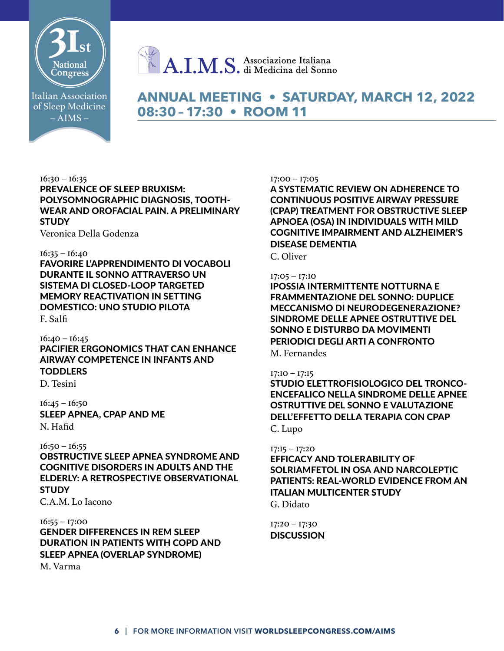

Italian Association of Sleep Medicine  $-$  AIMS  $-$ 

## **ANNUAL MEETING • SATURDAY, MARCH 12, 2022 08:30 – 17:30 • ROOM 11**

 $16:30 - 16:35$ PREVALENCE OF SLEEP BRUXISM: POLYSOMNOGRAPHIC DIAGNOSIS, TOOTH-WEAR AND OROFACIAL PAIN. A PRELIMINARY **STUDY** 

Veronica Della Godenza

#### 16:35 – 16:40

FAVORIRE L'APPRENDIMENTO DI VOCABOLI DURANTE IL SONNO ATTRAVERSO UN SISTEMA DI CLOSED-LOOP TARGETED MEMORY REACTIVATION IN SETTING DOMESTICO: UNO STUDIO PILOTA F. Salfi

 $16:40 - 16:45$ PACIFIER ERGONOMICS THAT CAN ENHANCE AIRWAY COMPETENCE IN INFANTS AND **TODDLERS** 

D. Tesini

 $16:45 - 16:50$ SLEEP APNEA, CPAP AND ME N. Hafid

 $16:50 - 16:55$ OBSTRUCTIVE SLEEP APNEA SYNDROME AND COGNITIVE DISORDERS IN ADULTS AND THE ELDERLY: A RETROSPECTIVE OBSERVATIONAL **STUDY** 

C.A.M. Lo Iacono

 $16:55 - 17:00$ GENDER DIFFERENCES IN REM SLEEP DURATION IN PATIENTS WITH COPD AND SLEEP APNEA (OVERLAP SYNDROME) M. Varma

#### 17:00 – 17:05

A SYSTEMATIC REVIEW ON ADHERENCE TO CONTINUOUS POSITIVE AIRWAY PRESSURE (CPAP) TREATMENT FOR OBSTRUCTIVE SLEEP APNOEA (OSA) IN INDIVIDUALS WITH MILD COGNITIVE IMPAIRMENT AND ALZHEIMER'S DISEASE DEMENTIA

C. Oliver

#### 17:05 – 17:10

IPOSSIA INTERMITTENTE NOTTURNA E FRAMMENTAZIONE DEL SONNO: DUPLICE MECCANISMO DI NEURODEGENERAZIONE? SINDROME DELLE APNEE OSTRUTTIVE DEL SONNO E DISTURBO DA MOVIMENTI PERIODICI DEGLI ARTI A CONFRONTO

M. Fernandes

#### 17:10 – 17:15

STUDIO ELETTROFISIOLOGICO DEL TRONCO-ENCEFALICO NELLA SINDROME DELLE APNEE OSTRUTTIVE DEL SONNO E VALUTAZIONE DELL'EFFETTO DELLA TERAPIA CON CPAP C. Lupo

#### $I7:15 - I7:20$

EFFICACY AND TOLERABILITY OF SOLRIAMFETOL IN OSA AND NARCOLEPTIC PATIENTS: REAL-WORLD EVIDENCE FROM AN ITALIAN MULTICENTER STUDY G. Didato

17:20 – 17:30 **DISCUSSION**